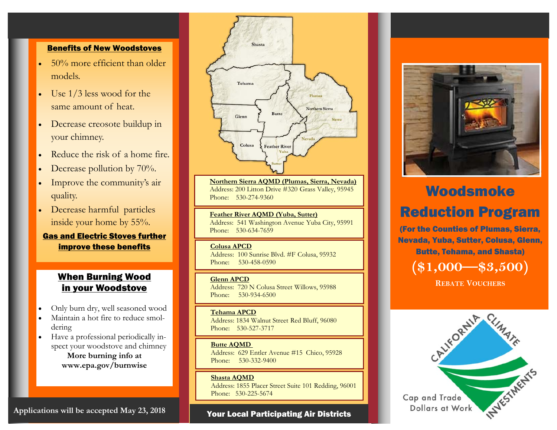#### Benefits of New Woodstoves

- $\bullet$  50% more efficient than older models.
- $\bullet$  Use 1/3 less wood for the same amount of heat.
- $\bullet$  Decrease creosote buildup in your chimney.
- $\bullet$ Reduce the risk of a home fire.
- $\bullet$ Decrease pollution by 70%.
- $\bullet$  Improve the community's air quality.
- $\bullet$  Decrease harmful particles inside your home by 55%.

Gas and Electric Stoves further improve these benefits

## When Burning Wood in your Woodstove

- $\bullet$ Only burn dry, well seasoned wood
- $\bullet$  Maintain a hot fire to reduce smoldering
- $\bullet$  Have a professional periodically inspect your woodstove and chimney **More burning info at www.epa.gov/burnwise**



**Northern Sierra AQMD (Plumas, Sierra, Nevada)**  Address: 200 Litton Drive #320 Grass Valley, 95945 Phone: 530-274-9360

**Feather River AQMD (Yuba, Sutter)** Address: 541 Washington Avenue Yuba City, 95991 Phone: 530-634-7659

#### **Colusa APCD**

Address: 100 Sunrise Blvd. #F Colusa, 95932 Phone: 530-458-0590

#### **Glenn APCD**

Address: 720 N Colusa Street Willows, 95988 Phone: 530-934-6500

#### **Tehama APCD**

Address: 1834 Walnut Street Red Bluff, 96080 Phone: 530-527-3717

#### **Butte AQMD**

Address: 629 Entler Avenue #15 Chico, 95928 Phone: 530-332-9400

#### **Shasta AQMD**

Address: 1855 Placer Street Suite 101 Redding, 96001 Phone: 530-225-5674

#### Your Local Participating Air Districts



# Woodsmoke Reduction Program

(For the Counties of Plumas, Sierra, Nevada, Yuba, Sutter, Colusa, Glenn, Butte, Tehama, and Shasta)

**(\$1,000—\$3,500)** 

**REBATE VOUCHERS**



**Applications will be accepted May 23, 2018**